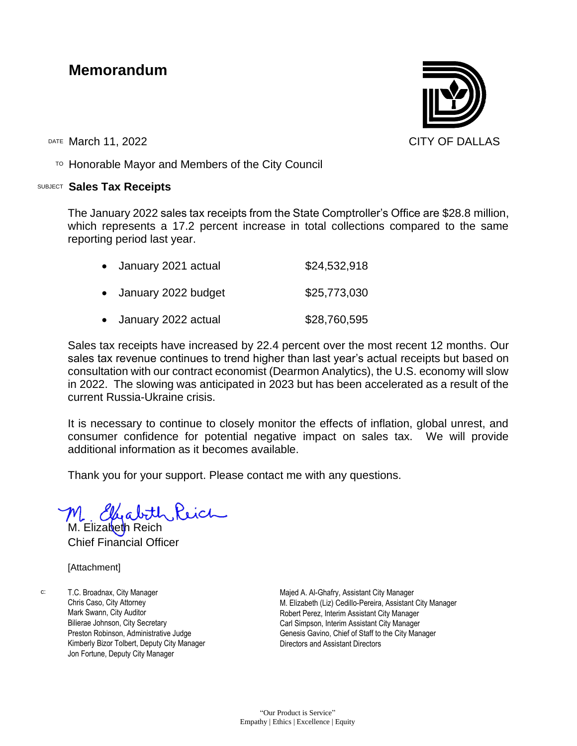## **Memorandum**

DATE March 11, 2022 CITY OF DALLAS

 $T$ <sup>O</sup> Honorable Mayor and Members of the City Council

## SUBJECT **Sales Tax Receipts**

The January 2022 sales tax receipts from the State Comptroller's Office are \$28.8 million, which represents a 17.2 percent increase in total collections compared to the same reporting period last year.

| January 2021 actual | \$24,532,918 |
|---------------------|--------------|
| January 2022 budget | \$25,773,030 |
| January 2022 actual | \$28,760,595 |

Sales tax receipts have increased by 22.4 percent over the most recent 12 months. Our sales tax revenue continues to trend higher than last year's actual receipts but based on consultation with our contract economist (Dearmon Analytics), the U.S. economy will slow in 2022. The slowing was anticipated in 2023 but has been accelerated as a result of the current Russia-Ukraine crisis.

It is necessary to continue to closely monitor the effects of inflation, global unrest, and consumer confidence for potential negative impact on sales tax. We will provide additional information as it becomes available.

Thank you for your support. Please contact me with any questions.

M. Elizabeth Reich Chief Financial Officer

[Attachment]

c: T.C. Broadnax, City Manager Chris Caso, City Attorney Mark Swann, City Auditor Bilierae Johnson, City Secretary Preston Robinson, Administrative Judge Kimberly Bizor Tolbert, Deputy City Manager Jon Fortune, Deputy City Manager

Majed A. Al-Ghafry, Assistant City Manager M. Elizabeth (Liz) Cedillo-Pereira, Assistant City Manager Robert Perez, Interim Assistant City Manager Carl Simpson, Interim Assistant City Manager Genesis Gavino, Chief of Staff to the City Manager Directors and Assistant Directors